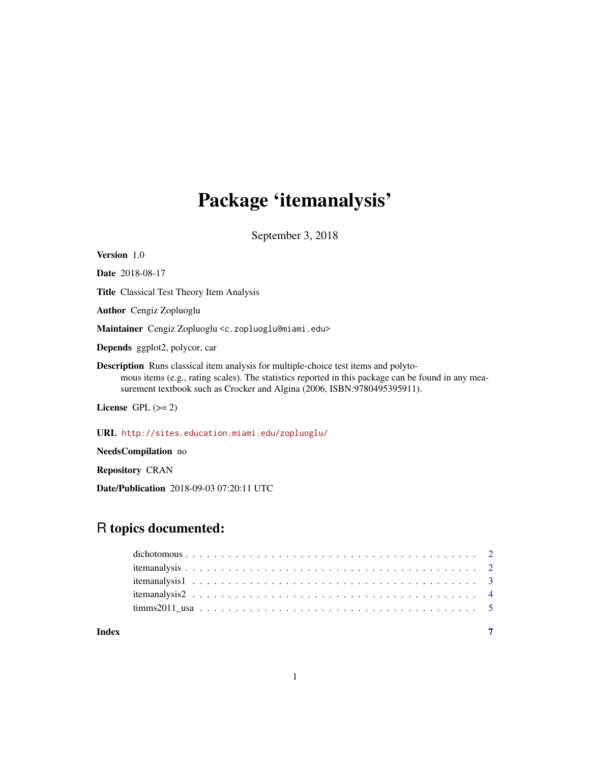# Package 'itemanalysis'

September 3, 2018

| Version 1.0                                                                                                                                                                                                                                                                  |
|------------------------------------------------------------------------------------------------------------------------------------------------------------------------------------------------------------------------------------------------------------------------------|
| <b>Date</b> 2018-08-17                                                                                                                                                                                                                                                       |
| <b>Title</b> Classical Test Theory Item Analysis                                                                                                                                                                                                                             |
| <b>Author</b> Cengiz Zopluoglu                                                                                                                                                                                                                                               |
| Maintainer Cengiz Zopluoglu <c.zopluoglu@miami.edu></c.zopluoglu@miami.edu>                                                                                                                                                                                                  |
| <b>Depends</b> ggplot2, polycor, car                                                                                                                                                                                                                                         |
| <b>Description</b> Runs classical item analysis for multiple-choice test items and polyto-<br>mous items (e.g., rating scales). The statistics reported in this package can be found in any mea-<br>surement textbook such as Crocker and Algina (2006, ISBN:9780495395911). |
| License GPL $(>= 2)$                                                                                                                                                                                                                                                         |
| URL http://sites.education.miami.edu/zopluoglu/                                                                                                                                                                                                                              |
| <b>NeedsCompilation</b> no                                                                                                                                                                                                                                                   |

Repository CRAN

Date/Publication 2018-09-03 07:20:11 UTC

# R topics documented:

**Index** [7](#page-6-0) **7**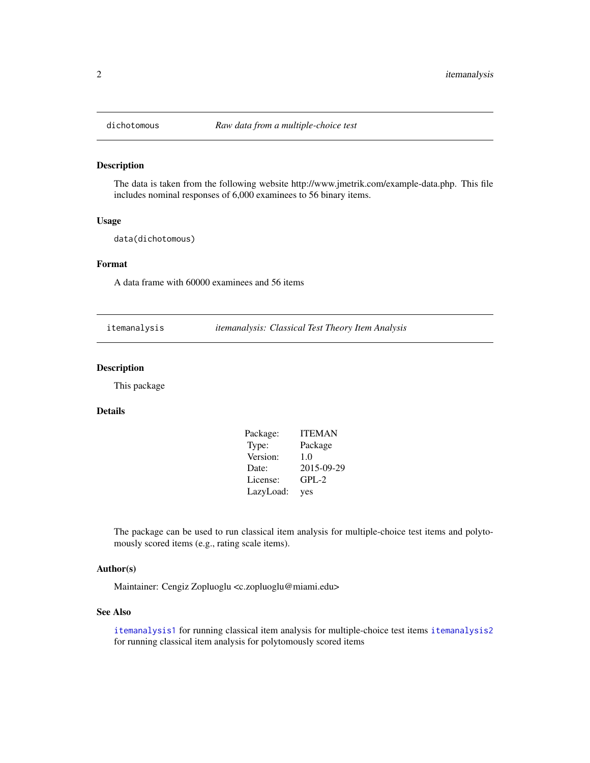<span id="page-1-0"></span>

### Description

The data is taken from the following website http://www.jmetrik.com/example-data.php. This file includes nominal responses of 6,000 examinees to 56 binary items.

#### Usage

data(dichotomous)

### Format

A data frame with 60000 examinees and 56 items

itemanalysis *itemanalysis: Classical Test Theory Item Analysis*

### Description

This package

#### Details

| Package:  | <b>ITEMAN</b> |
|-----------|---------------|
| Type:     | Package       |
| Version:  | 1.0           |
| Date:     | 2015-09-29    |
| License:  | $GPL-2$       |
| LazyLoad: | yes           |

The package can be used to run classical item analysis for multiple-choice test items and polytomously scored items (e.g., rating scale items).

#### Author(s)

Maintainer: Cengiz Zopluoglu <c.zopluoglu@miami.edu>

#### See Also

[itemanalysis1](#page-2-1) for running classical item analysis for multiple-choice test items [itemanalysis2](#page-3-1) for running classical item analysis for polytomously scored items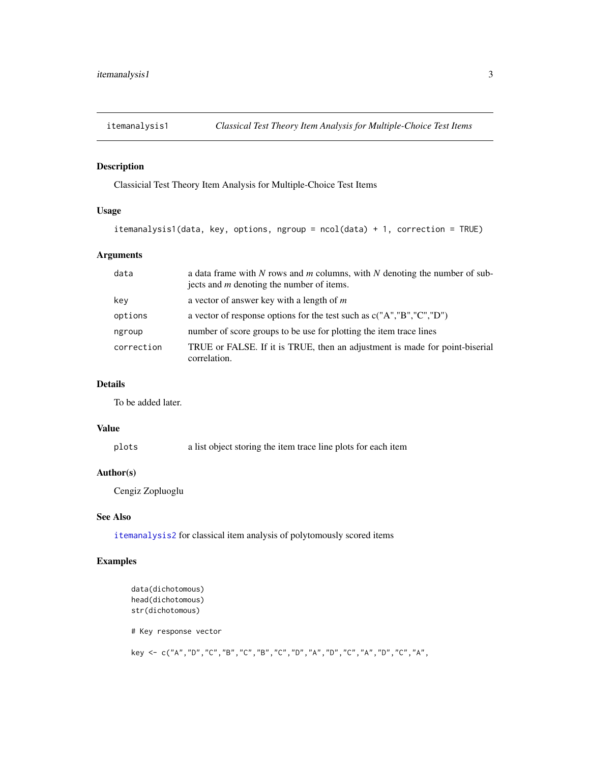<span id="page-2-1"></span><span id="page-2-0"></span>

# Description

Classicial Test Theory Item Analysis for Multiple-Choice Test Items

# Usage

```
itemanalysis1(data, key, options, ngroup = ncol(data) + 1, correction = TRUE)
```
# Arguments

| data       | a data frame with $N$ rows and $m$ columns, with $N$ denoting the number of sub-<br>jects and <i>m</i> denoting the number of items. |
|------------|--------------------------------------------------------------------------------------------------------------------------------------|
| key        | a vector of answer key with a length of $m$                                                                                          |
| options    | a vector of response options for the test such as $c("A", "B", "C", "D")$                                                            |
| ngroup     | number of score groups to be use for plotting the item trace lines                                                                   |
| correction | TRUE or FALSE. If it is TRUE, then an adjustment is made for point-biserial<br>correlation.                                          |

#### Details

To be added later.

# Value

plots a list object storing the item trace line plots for each item

# Author(s)

Cengiz Zopluoglu

# See Also

[itemanalysis2](#page-3-1) for classical item analysis of polytomously scored items

# Examples

```
data(dichotomous)
head(dichotomous)
str(dichotomous)
# Key response vector
key <- c("A","D","C","B","C","B","C","D","A","D","C","A","D","C","A",
```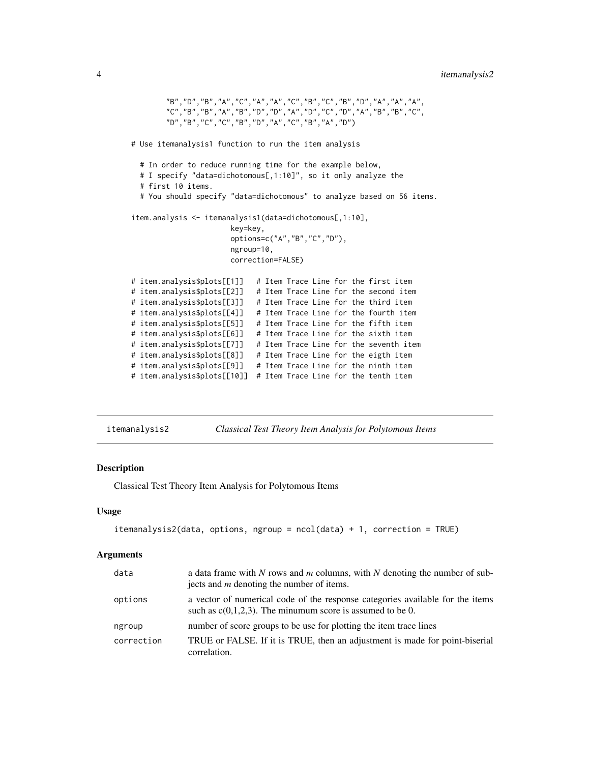```
"B","D","B","A","C","A","A","C","B","C","B","D","A","A","A",
       "C","B","B","A","B","D","D","A","D","C","D","A","B","B","C",
        "D","B","C","C","B","D","A","C","B","A","D")
# Use itemanalysis1 function to run the item analysis
 # In order to reduce running time for the example below,
 # I specify "data=dichotomous[,1:10]", so it only analyze the
 # first 10 items.
 # You should specify "data=dichotomous" to analyze based on 56 items.
item.analysis <- itemanalysis1(data=dichotomous[,1:10],
                      key=key,
                      options=c("A","B","C","D"),
                      ngroup=10,
                      correction=FALSE)
# item.analysis$plots[[1]] # Item Trace Line for the first item
# item.analysis$plots[[2]] # Item Trace Line for the second item
# item.analysis$plots[[3]] # Item Trace Line for the third item
# item.analysis$plots[[4]] # Item Trace Line for the fourth item
# item.analysis$plots[[5]] # Item Trace Line for the fifth item
# item.analysis$plots[[6]] # Item Trace Line for the sixth item
# item.analysis$plots[[7]] # Item Trace Line for the seventh item
# item.analysis$plots[[8]] # Item Trace Line for the eigth item
# item.analysis$plots[[9]] # Item Trace Line for the ninth item
# item.analysis$plots[[10]] # Item Trace Line for the tenth item
```
<span id="page-3-1"></span>itemanalysis2 *Classical Test Theory Item Analysis for Polytomous Items*

#### **Description**

Classical Test Theory Item Analysis for Polytomous Items

#### Usage

```
itemanalysis2(data, options, ngroup = ncol(data) + 1, correction = TRUE)
```
#### Arguments

| data       | a data frame with N rows and $m$ columns, with N denoting the number of sub-<br>jects and $m$ denoting the number of items.                   |
|------------|-----------------------------------------------------------------------------------------------------------------------------------------------|
| options    | a vector of numerical code of the response categories available for the items<br>such as $c(0,1,2,3)$ . The minumum score is assumed to be 0. |
| ngroup     | number of score groups to be use for plotting the item trace lines                                                                            |
| correction | TRUE or FALSE. If it is TRUE, then an adjustment is made for point-biserial<br>correlation.                                                   |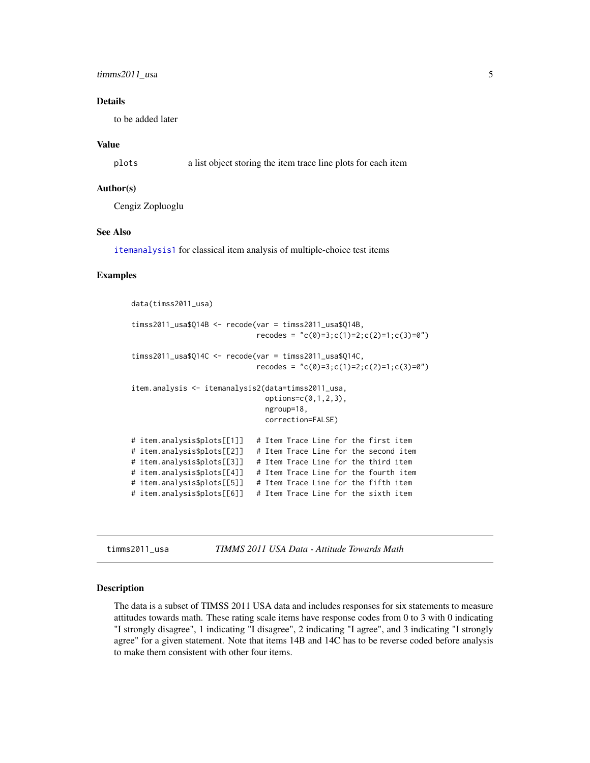# <span id="page-4-0"></span>**Details**

to be added later

### Value

plots a list object storing the item trace line plots for each item

# Author(s)

Cengiz Zopluoglu

### See Also

[itemanalysis1](#page-2-1) for classical item analysis of multiple-choice test items

# Examples

```
data(timss2011_usa)
timss2011_usa$Q14B <- recode(var = timss2011_usa$Q14B,
                            recodes = "c(0)=3;c(1)=2;c(2)=1;c(3)=0")timss2011_usa$Q14C <- recode(var = timss2011_usa$Q14C,
                            recodes = "c(0)=3;c(1)=2;c(2)=1;c(3)=0")item.analysis <- itemanalysis2(data=timss2011_usa,
                              options=c(0,1,2,3),
                              ngroup=18,
                              correction=FALSE)
# item.analysis$plots[[1]] # Item Trace Line for the first item
# item.analysis$plots[[2]] # Item Trace Line for the second item
# item.analysis$plots[[3]] # Item Trace Line for the third item
# item.analysis$plots[[4]] # Item Trace Line for the fourth item
# item.analysis$plots[[5]] # Item Trace Line for the fifth item
# item.analysis$plots[[6]] # Item Trace Line for the sixth item
```
timms2011\_usa *TIMMS 2011 USA Data - Attitude Towards Math*

### Description

The data is a subset of TIMSS 2011 USA data and includes responses for six statements to measure attitudes towards math. These rating scale items have response codes from 0 to 3 with 0 indicating "I strongly disagree", 1 indicating "I disagree", 2 indicating "I agree", and 3 indicating "I strongly agree" for a given statement. Note that items 14B and 14C has to be reverse coded before analysis to make them consistent with other four items.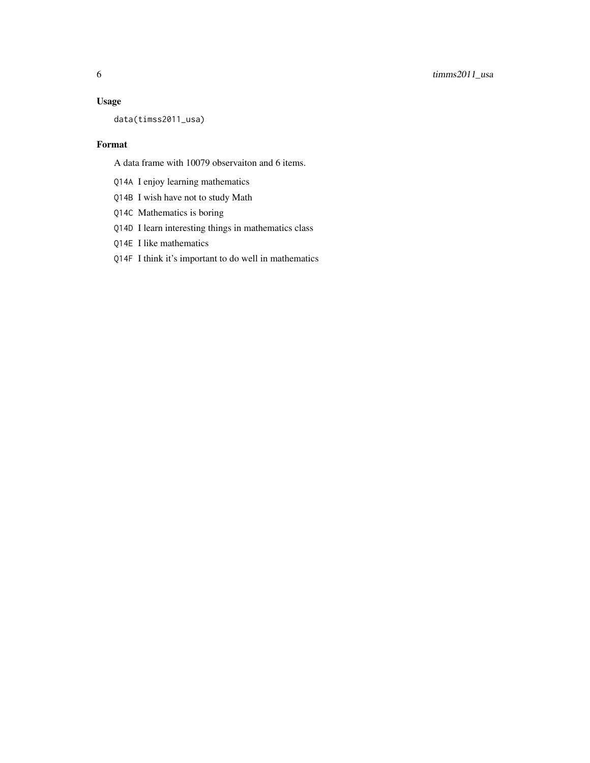# Usage

data(timss2011\_usa)

# Format

A data frame with 10079 observaiton and 6 items.

- Q14A I enjoy learning mathematics
- Q14B I wish have not to study Math
- Q14C Mathematics is boring
- Q14D I learn interesting things in mathematics class
- Q14E I like mathematics
- Q14F I think it's important to do well in mathematics